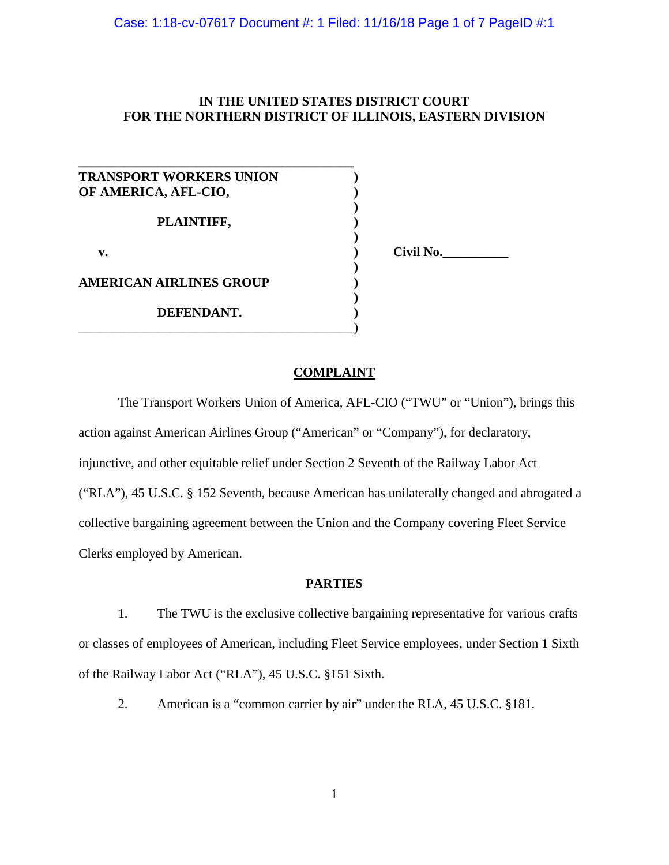# **IN THE UNITED STATES DISTRICT COURT FOR THE NORTHERN DISTRICT OF ILLINOIS, EASTERN DIVISION**

**\_\_\_\_\_\_\_\_\_\_\_\_\_\_\_\_\_\_\_\_\_\_\_\_\_\_\_\_\_\_\_\_\_\_\_\_\_\_\_\_\_\_ TRANSPORT WORKERS UNION ) OF AMERICA, AFL-CIO, ) ) PLAINTIFF, ) ) v. ) Civil No.\_\_\_\_\_\_\_\_\_\_ ) AMERICAN AIRLINES GROUP ) DEFENDANT. )** \_\_\_\_\_\_\_\_\_\_\_\_\_\_\_\_\_\_\_\_\_\_\_\_\_\_\_\_\_\_\_\_\_\_\_\_\_\_\_\_\_\_)

### **COMPLAINT**

**)**

The Transport Workers Union of America, AFL-CIO ("TWU" or "Union"), brings this action against American Airlines Group ("American" or "Company"), for declaratory, injunctive, and other equitable relief under Section 2 Seventh of the Railway Labor Act ("RLA"), 45 U.S.C. § 152 Seventh, because American has unilaterally changed and abrogated a collective bargaining agreement between the Union and the Company covering Fleet Service Clerks employed by American.

### **PARTIES**

1. The TWU is the exclusive collective bargaining representative for various crafts or classes of employees of American, including Fleet Service employees, under Section 1 Sixth of the Railway Labor Act ("RLA"), 45 U.S.C. §151 Sixth.

2. American is a "common carrier by air" under the RLA, 45 U.S.C. §181.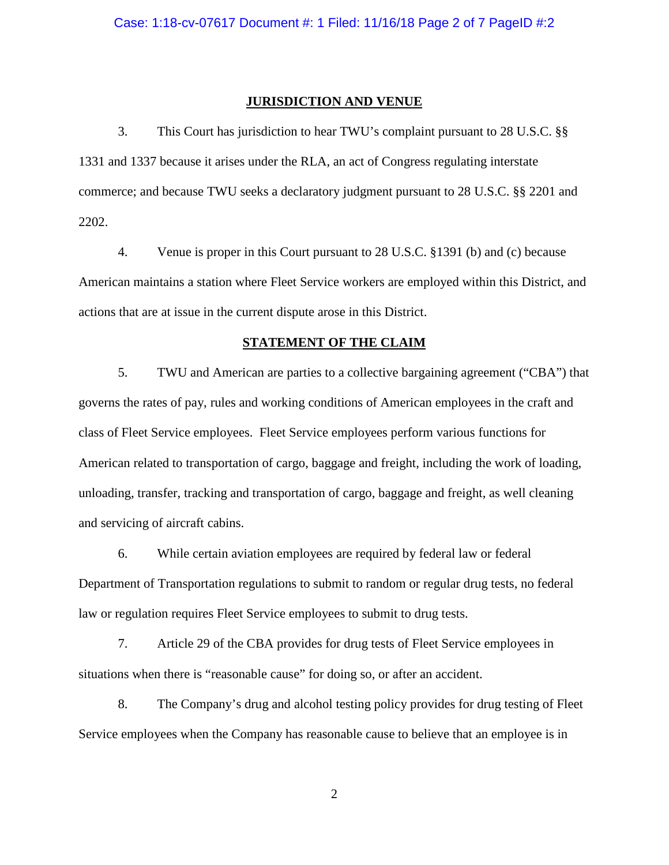#### **JURISDICTION AND VENUE**

3. This Court has jurisdiction to hear TWU's complaint pursuant to 28 U.S.C. §§ 1331 and 1337 because it arises under the RLA, an act of Congress regulating interstate commerce; and because TWU seeks a declaratory judgment pursuant to 28 U.S.C. §§ 2201 and 2202.

4. Venue is proper in this Court pursuant to 28 U.S.C. §1391 (b) and (c) because American maintains a station where Fleet Service workers are employed within this District, and actions that are at issue in the current dispute arose in this District.

### **STATEMENT OF THE CLAIM**

5. TWU and American are parties to a collective bargaining agreement ("CBA") that governs the rates of pay, rules and working conditions of American employees in the craft and class of Fleet Service employees. Fleet Service employees perform various functions for American related to transportation of cargo, baggage and freight, including the work of loading, unloading, transfer, tracking and transportation of cargo, baggage and freight, as well cleaning and servicing of aircraft cabins.

6. While certain aviation employees are required by federal law or federal Department of Transportation regulations to submit to random or regular drug tests, no federal law or regulation requires Fleet Service employees to submit to drug tests.

7. Article 29 of the CBA provides for drug tests of Fleet Service employees in situations when there is "reasonable cause" for doing so, or after an accident.

8. The Company's drug and alcohol testing policy provides for drug testing of Fleet Service employees when the Company has reasonable cause to believe that an employee is in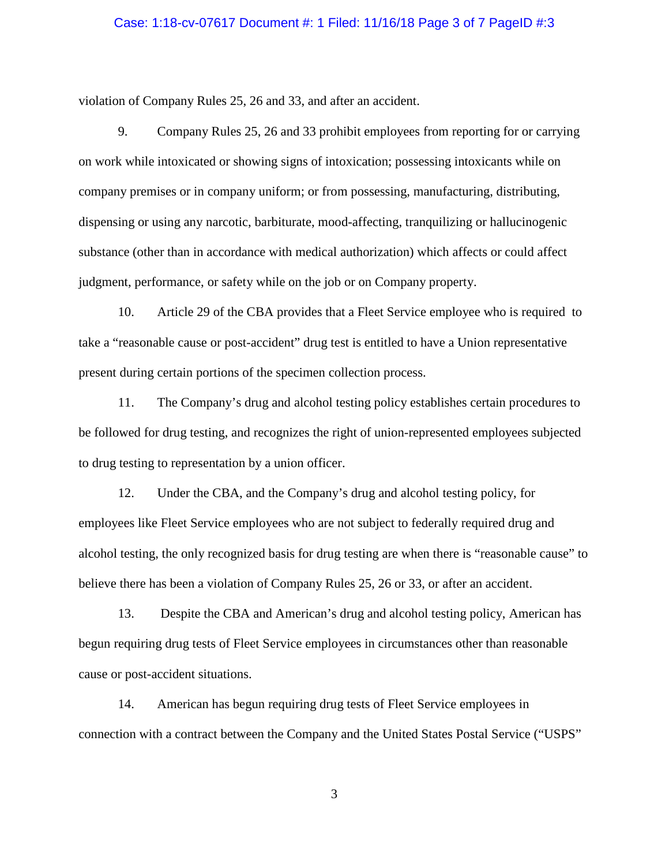#### Case: 1:18-cv-07617 Document #: 1 Filed: 11/16/18 Page 3 of 7 PageID #:3

violation of Company Rules 25, 26 and 33, and after an accident.

9. Company Rules 25, 26 and 33 prohibit employees from reporting for or carrying on work while intoxicated or showing signs of intoxication; possessing intoxicants while on company premises or in company uniform; or from possessing, manufacturing, distributing, dispensing or using any narcotic, barbiturate, mood-affecting, tranquilizing or hallucinogenic substance (other than in accordance with medical authorization) which affects or could affect judgment, performance, or safety while on the job or on Company property.

10. Article 29 of the CBA provides that a Fleet Service employee who is required to take a "reasonable cause or post-accident" drug test is entitled to have a Union representative present during certain portions of the specimen collection process.

11. The Company's drug and alcohol testing policy establishes certain procedures to be followed for drug testing, and recognizes the right of union-represented employees subjected to drug testing to representation by a union officer.

12. Under the CBA, and the Company's drug and alcohol testing policy, for employees like Fleet Service employees who are not subject to federally required drug and alcohol testing, the only recognized basis for drug testing are when there is "reasonable cause" to believe there has been a violation of Company Rules 25, 26 or 33, or after an accident.

13. Despite the CBA and American's drug and alcohol testing policy, American has begun requiring drug tests of Fleet Service employees in circumstances other than reasonable cause or post-accident situations.

14. American has begun requiring drug tests of Fleet Service employees in connection with a contract between the Company and the United States Postal Service ("USPS"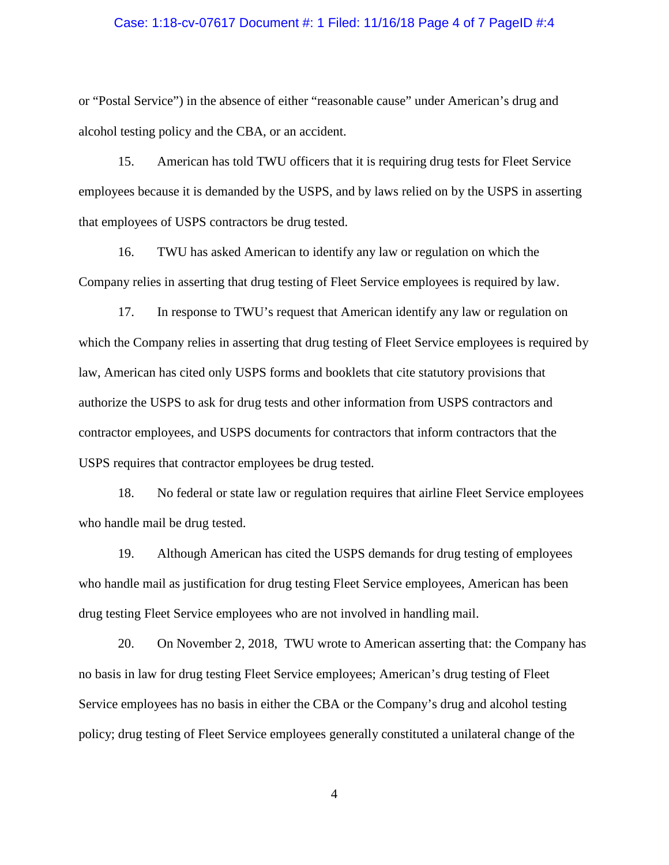#### Case: 1:18-cv-07617 Document #: 1 Filed: 11/16/18 Page 4 of 7 PageID #:4

or "Postal Service") in the absence of either "reasonable cause" under American's drug and alcohol testing policy and the CBA, or an accident.

15. American has told TWU officers that it is requiring drug tests for Fleet Service employees because it is demanded by the USPS, and by laws relied on by the USPS in asserting that employees of USPS contractors be drug tested.

16. TWU has asked American to identify any law or regulation on which the Company relies in asserting that drug testing of Fleet Service employees is required by law.

17. In response to TWU's request that American identify any law or regulation on which the Company relies in asserting that drug testing of Fleet Service employees is required by law, American has cited only USPS forms and booklets that cite statutory provisions that authorize the USPS to ask for drug tests and other information from USPS contractors and contractor employees, and USPS documents for contractors that inform contractors that the USPS requires that contractor employees be drug tested.

18. No federal or state law or regulation requires that airline Fleet Service employees who handle mail be drug tested.

19. Although American has cited the USPS demands for drug testing of employees who handle mail as justification for drug testing Fleet Service employees, American has been drug testing Fleet Service employees who are not involved in handling mail.

20. On November 2, 2018, TWU wrote to American asserting that: the Company has no basis in law for drug testing Fleet Service employees; American's drug testing of Fleet Service employees has no basis in either the CBA or the Company's drug and alcohol testing policy; drug testing of Fleet Service employees generally constituted a unilateral change of the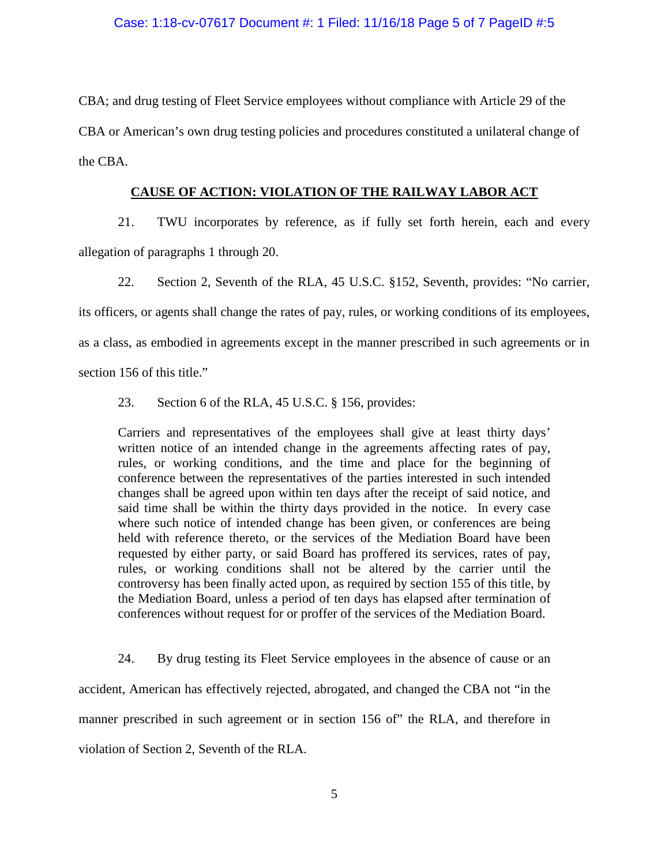CBA; and drug testing of Fleet Service employees without compliance with Article 29 of the CBA or American's own drug testing policies and procedures constituted a unilateral change of the CBA.

## **CAUSE OF ACTION: VIOLATION OF THE RAILWAY LABOR ACT**

21. TWU incorporates by reference, as if fully set forth herein, each and every allegation of paragraphs 1 through 20.

22. Section 2, Seventh of the RLA, 45 U.S.C. §152, Seventh, provides: "No carrier,

its officers, or agents shall change the rates of pay, rules, or working conditions of its employees,

as a class, as embodied in agreements except in the manner prescribed in such agreements or in

section 156 of this title."

23. Section 6 of the RLA, 45 U.S.C. § 156, provides:

Carriers and representatives of the employees shall give at least thirty days' written notice of an intended change in the agreements affecting rates of pay, rules, or working conditions, and the time and place for the beginning of conference between the representatives of the parties interested in such intended changes shall be agreed upon within ten days after the receipt of said notice, and said time shall be within the thirty days provided in the notice. In every case where such notice of intended change has been given, or conferences are being held with reference thereto, or the services of the Mediation Board have been requested by either party, or said Board has proffered its services, rates of pay, rules, or working conditions shall not be altered by the carrier until the controversy has been finally acted upon, as required by section 155 of this title, by the Mediation Board, unless a period of ten days has elapsed after termination of conferences without request for or proffer of the services of the Mediation Board.

24. By drug testing its Fleet Service employees in the absence of cause or an accident, American has effectively rejected, abrogated, and changed the CBA not "in the manner prescribed in such agreement or in section 156 of" the RLA, and therefore in violation of Section 2, Seventh of the RLA.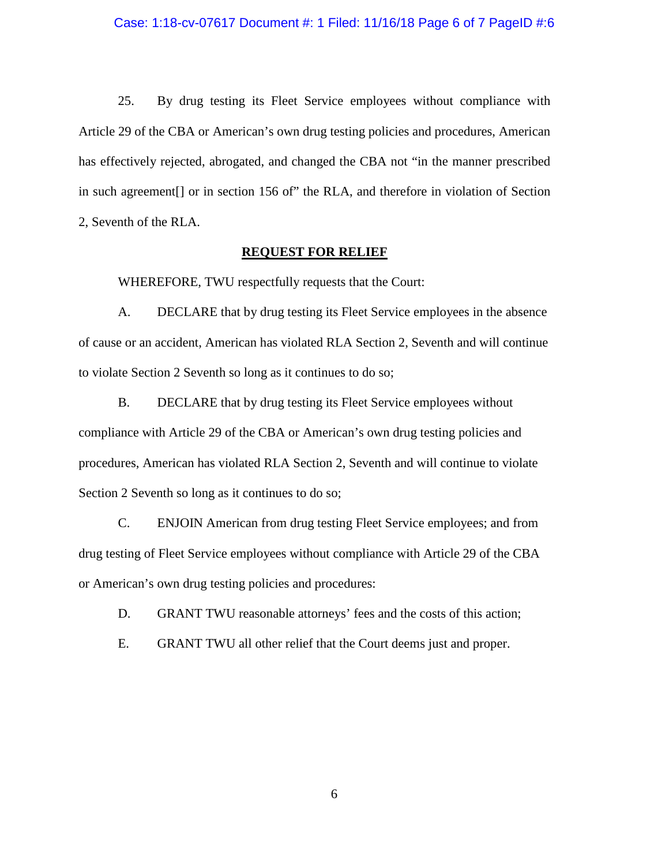25. By drug testing its Fleet Service employees without compliance with Article 29 of the CBA or American's own drug testing policies and procedures, American has effectively rejected, abrogated, and changed the CBA not "in the manner prescribed in such agreement[] or in section 156 of" the RLA, and therefore in violation of Section 2, Seventh of the RLA.

## **REQUEST FOR RELIEF**

WHEREFORE, TWU respectfully requests that the Court:

A. DECLARE that by drug testing its Fleet Service employees in the absence of cause or an accident, American has violated RLA Section 2, Seventh and will continue to violate Section 2 Seventh so long as it continues to do so;

B. DECLARE that by drug testing its Fleet Service employees without compliance with Article 29 of the CBA or American's own drug testing policies and procedures, American has violated RLA Section 2, Seventh and will continue to violate Section 2 Seventh so long as it continues to do so;

C. ENJOIN American from drug testing Fleet Service employees; and from drug testing of Fleet Service employees without compliance with Article 29 of the CBA or American's own drug testing policies and procedures:

D. GRANT TWU reasonable attorneys' fees and the costs of this action;

E. GRANT TWU all other relief that the Court deems just and proper.